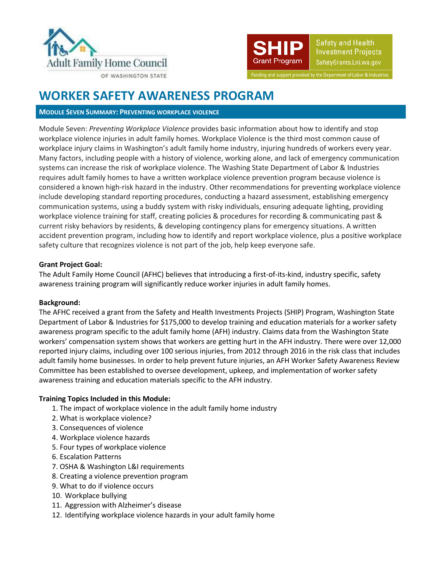



Safety and Health **Investment Projects** SafetyGrants.Lni.wa.gov

Funding and support provided by the Department of Labor & Industries

# **WORKER SAFETY AWARENESS PROGRAM**

### **MODULE SEVEN SUMMARY: PREVENTING WORKPLACE VIOLENCE**

Module Seven: *Preventing Workplace Violence* provides basic information about how to identify and stop workplace violence injuries in adult family homes. Workplace Violence is the third most common cause of workplace injury claims in Washington's adult family home industry, injuring hundreds of workers every year. Many factors, including people with a history of violence, working alone, and lack of emergency communication systems can increase the risk of workplace violence. The Washing State Department of Labor & Industries requires adult family homes to have a written workplace violence prevention program because violence is considered a known high-risk hazard in the industry. Other recommendations for preventing workplace violence include developing standard reporting procedures, conducting a hazard assessment, establishing emergency communication systems, using a buddy system with risky individuals, ensuring adequate lighting, providing workplace violence training for staff, creating policies & procedures for recording & communicating past & current risky behaviors by residents, & developing contingency plans for emergency situations. A written accident prevention program, including how to identify and report workplace violence, plus a positive workplace safety culture that recognizes violence is not part of the job, help keep everyone safe.

## **Grant Project Goal:**

The Adult Family Home Council (AFHC) believes that introducing a first-of-its-kind, industry specific, safety awareness training program will significantly reduce worker injuries in adult family homes.

# **Background:**

The AFHC received a grant from the Safety and Health Investments Projects (SHIP) Program, Washington State Department of Labor & Industries for \$175,000 to develop training and education materials for a worker safety awareness program specific to the adult family home (AFH) industry. Claims data from the Washington State workers' compensation system shows that workers are getting hurt in the AFH industry. There were over 12,000 reported injury claims, including over 100 serious injuries, from 2012 through 2016 in the risk class that includes adult family home businesses. In order to help prevent future injuries, an AFH Worker Safety Awareness Review Committee has been established to oversee development, upkeep, and implementation of worker safety awareness training and education materials specific to the AFH industry.

### **Training Topics Included in this Module:**

- 1. The impact of workplace violence in the adult family home industry
- 2. What is workplace violence?
- 3. Consequences of violence
- 4. Workplace violence hazards
- 5. Four types of workplace violence
- 6. Escalation Patterns
- 7. OSHA & Washington L&I requirements
- 8. Creating a violence prevention program
- 9. What to do if violence occurs
- 10. Workplace bullying
- 11. Aggression with Alzheimer's disease
- 12. Identifying workplace violence hazards in your adult family home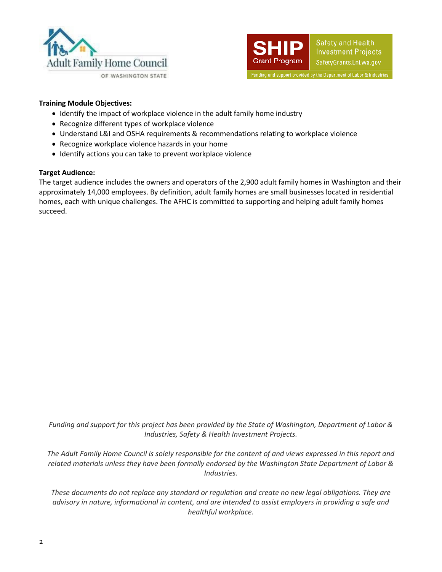



## **Training Module Objectives:**

- Identify the impact of workplace violence in the adult family home industry
- Recognize different types of workplace violence
- Understand L&I and OSHA requirements & recommendations relating to workplace violence
- Recognize workplace violence hazards in your home
- Identify actions you can take to prevent workplace violence

#### **Target Audience:**

The target audience includes the owners and operators of the 2,900 adult family homes in Washington and their approximately 14,000 employees. By definition, adult family homes are small businesses located in residential homes, each with unique challenges. The AFHC is committed to supporting and helping adult family homes succeed.

*Funding and support for this project has been provided by the State of Washington, Department of Labor & Industries, Safety & Health Investment Projects.*

*The Adult Family Home Council is solely responsible for the content of and views expressed in this report and related materials unless they have been formally endorsed by the Washington State Department of Labor & Industries.*

*These documents do not replace any standard or regulation and create no new legal obligations. They are advisory in nature, informational in content, and are intended to assist employers in providing a safe and healthful workplace.*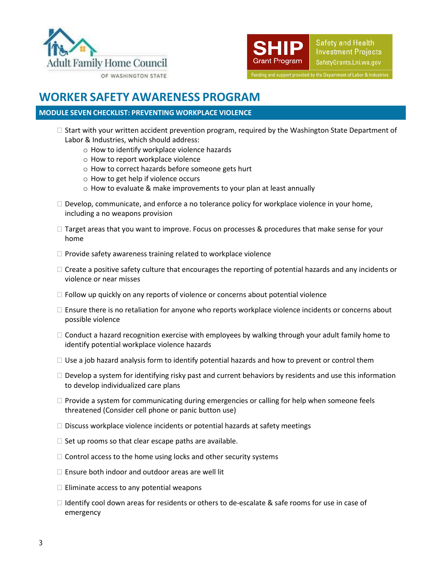



# **WORKER SAFETY AWARENESS PROGRAM**

# **MODULE SEVEN CHECKLIST: PREVENTING WORKPLACE VIOLENCE**

- $\Box$  Start with your written accident prevention program, required by the Washington State Department of Labor & Industries, which should address:
	- o How to identify workplace violence hazards
	- o How to report workplace violence
	- o How to correct hazards before someone gets hurt
	- o How to get help if violence occurs
	- o How to evaluate & make improvements to your plan at least annually
- $\Box$  Develop, communicate, and enforce a no tolerance policy for workplace violence in your home, including a no weapons provision
- $\Box$  Target areas that you want to improve. Focus on processes & procedures that make sense for your home
- $\Box$  Provide safety awareness training related to workplace violence
- $\Box$  Create a positive safety culture that encourages the reporting of potential hazards and any incidents or violence or near misses
- $\Box$  Follow up quickly on any reports of violence or concerns about potential violence
- $\square$  Ensure there is no retaliation for anyone who reports workplace violence incidents or concerns about possible violence
- $\Box$  Conduct a hazard recognition exercise with employees by walking through your adult family home to identify potential workplace violence hazards
- $\Box$  Use a job hazard analysis form to identify potential hazards and how to prevent or control them
- $\Box$  Develop a system for identifying risky past and current behaviors by residents and use this information to develop individualized care plans
- $\Box$  Provide a system for communicating during emergencies or calling for help when someone feels threatened (Consider cell phone or panic button use)
- $\square$  Discuss workplace violence incidents or potential hazards at safety meetings
- $\Box$  Set up rooms so that clear escape paths are available.
- $\Box$  Control access to the home using locks and other security systems
- $\Box$  Ensure both indoor and outdoor areas are well lit
- $\Box$  Eliminate access to any potential weapons
- $\Box$  Identify cool down areas for residents or others to de-escalate & safe rooms for use in case of emergency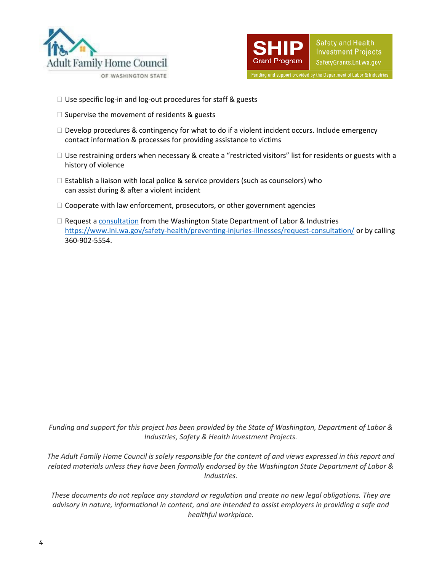



- $\Box$  Use specific log-in and log-out procedures for staff & guests
- $\square$  Supervise the movement of residents & guests
- $\Box$  Develop procedures & contingency for what to do if a violent incident occurs. Include emergency contact information & processes for providing assistance to victims
- $\Box$  Use restraining orders when necessary & create a "restricted visitors" list for residents or guests with a history of violence
- $\Box$  Establish a liaison with local police & service providers (such as counselors) who can assist during & after a violent incident
- $\Box$  Cooperate with law enforcement, prosecutors, or other government agencies
- $\Box$  Request [a consultation](https://www.lni.wa.gov/safety-health/preventing-injuries-illnesses/request-consultation/) from the Washington State Department of Labor & Industries <https://www.lni.wa.gov/safety-health/preventing-injuries-illnesses/request-consultation/> or by calling 360-902-5554.

*Funding and support for this project has been provided by the State of Washington, Department of Labor & Industries, Safety & Health Investment Projects.*

*The Adult Family Home Council is solely responsible for the content of and views expressed in this report and related materials unless they have been formally endorsed by the Washington State Department of Labor & Industries.*

*These documents do not replace any standard or regulation and create no new legal obligations. They are advisory in nature, informational in content, and are intended to assist employers in providing a safe and healthful workplace.*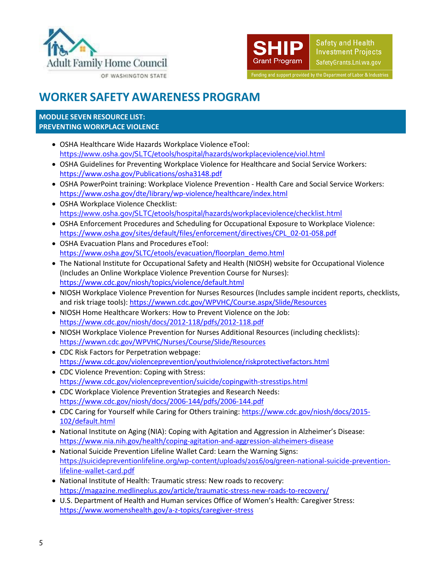



# **WORKER SAFETY AWARENESS PROGRAM**

### **MODULE SEVEN RESOURCE LIST: PREVENTING WORKPLACE VIOLENCE**

- OSHA Healthcare Wide Hazards Workplace Violence eTool: <https://www.osha.gov/SLTC/etools/hospital/hazards/workplaceviolence/viol.html>
- OSHA Guidelines for Preventing Workplace Violence for Healthcare and Social Service Workers: <https://www.osha.gov/Publications/osha3148.pdf>
- OSHA PowerPoint training: Workplace Violence Prevention Health Care and Social Service Workers: <https://www.osha.gov/dte/library/wp-violence/healthcare/index.html>
- OSHA Workplace Violence Checklist: <https://www.osha.gov/SLTC/etools/hospital/hazards/workplaceviolence/checklist.html>
- OSHA Enforcement Procedures and Scheduling for Occupational Exposure to Workplace Violence: [https://www.osha.gov/sites/default/files/enforcement/directives/CPL\\_02-01-058.pdf](https://www.osha.gov/sites/default/files/enforcement/directives/CPL_02-01-058.pdf)
- OSHA Evacuation Plans and Procedures eTool: [https://www.osha.gov/SLTC/etools/evacuation/floorplan\\_demo.html](https://www.osha.gov/SLTC/etools/evacuation/floorplan_demo.html)
- The National Institute for Occupational Safety and Health (NIOSH) website for Occupational Violence (Includes an Online Workplace Violence Prevention Course for Nurses): <https://www.cdc.gov/niosh/topics/violence/default.html>
- NIOSH Workplace Violence Prevention for Nurses Resources (Includes sample incident reports, checklists, and risk triage tools)[: https://wwwn.cdc.gov/WPVHC/Course.aspx/Slide/Resources](https://wwwn.cdc.gov/WPVHC/Course.aspx/Slide/Resources)
- NIOSH Home Healthcare Workers: How to Prevent Violence on the Job: <https://www.cdc.gov/niosh/docs/2012-118/pdfs/2012-118.pdf>
- NIOSH Workplace Violence Prevention for Nurses Additional Resources (including checklists): <https://wwwn.cdc.gov/WPVHC/Nurses/Course/Slide/Resources>
- CDC Risk Factors for Perpetration webpage: <https://www.cdc.gov/violenceprevention/youthviolence/riskprotectivefactors.html>
- CDC Violence Prevention: Coping with Stress: <https://www.cdc.gov/violenceprevention/suicide/copingwith-stresstips.html>
- CDC Workplace Violence Prevention Strategies and Research Needs: <https://www.cdc.gov/niosh/docs/2006-144/pdfs/2006-144.pdf>
- CDC Caring for Yourself while Caring for Others training: [https://www.cdc.gov/niosh/docs/2015-](https://www.cdc.gov/niosh/docs/2015-102/default.html) [102/default.html](https://www.cdc.gov/niosh/docs/2015-102/default.html)
- National Institute on Aging (NIA): Coping with Agitation and Aggression in Alzheimer's Disease: <https://www.nia.nih.gov/health/coping-agitation-and-aggression-alzheimers-disease>
- National Suicide Prevention Lifeline Wallet Card: Learn the Warning Signs: [https://suicidepreventionlifeline.org/wp-content/uploads/2016/09/green-national-suicide-prevention](https://suicidepreventionlifeline.org/wp-content/uploads/2016/09/green-national-suicide-prevention-lifeline-wallet-card.pdf)[lifeline-wallet-card.pdf](https://suicidepreventionlifeline.org/wp-content/uploads/2016/09/green-national-suicide-prevention-lifeline-wallet-card.pdf)
- National Institute of Health: Traumatic stress: New roads to recovery: <https://magazine.medlineplus.gov/article/traumatic-stress-new-roads-to-recovery/>
- U.S. Department of Health and Human services Office of Women's Health: Caregiver Stress: <https://www.womenshealth.gov/a-z-topics/caregiver-stress>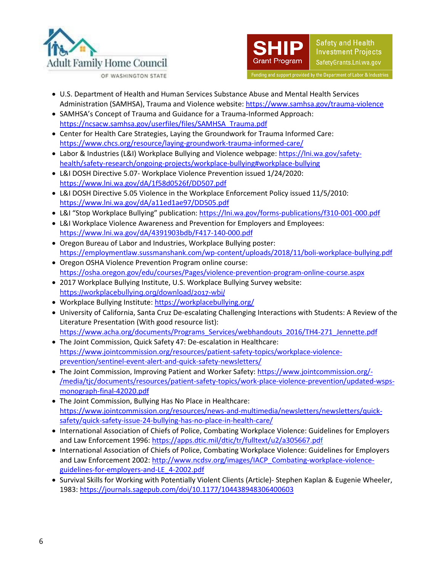



- U.S. Department of Health and Human Services Substance Abuse and Mental Health Services Administration (SAMHSA), Trauma and Violence website[: https://www.samhsa.gov/trauma-violence](https://www.samhsa.gov/trauma-violence)
- SAMHSA's Concept of Trauma and Guidance for a Trauma-Informed Approach: [https://ncsacw.samhsa.gov/userfiles/files/SAMHSA\\_Trauma.pdf](https://ncsacw.samhsa.gov/userfiles/files/SAMHSA_Trauma.pdf)
- Center for Health Care Strategies, Laying the Groundwork for Trauma Informed Care: <https://www.chcs.org/resource/laying-groundwork-trauma-informed-care/>
- Labor & Industries (L&I) Workplace Bullying and Violence webpage: [https://lni.wa.gov/safety](https://lni.wa.gov/safety-health/safety-research/ongoing-projects/workplace-bullying#workplace-bullying)[health/safety-research/ongoing-projects/workplace-bullying#workplace-bullying](https://lni.wa.gov/safety-health/safety-research/ongoing-projects/workplace-bullying#workplace-bullying)
- L&I DOSH Directive 5.07- Workplace Violence Prevention issued 1/24/2020: <https://www.lni.wa.gov/dA/1f58d0526f/DD507.pdf>
- L&I DOSH Directive 5.05 Violence in the Workplace Enforcement Policy issued 11/5/2010: <https://www.lni.wa.gov/dA/a11ed1ae97/DD505.pdf>
- L&I "Stop Workplace Bullying" publication:<https://lni.wa.gov/forms-publications/f310-001-000.pdf>
- L&I Workplace Violence Awareness and Prevention for Employers and Employees: <https://www.lni.wa.gov/dA/4391903bdb/F417-140-000.pdf>
- Oregon Bureau of Labor and Industries, Workplace Bullying poster: <https://employmentlaw.sussmanshank.com/wp-content/uploads/2018/11/boli-workplace-bullying.pdf>
- Oregon OSHA Violence Prevention Program online course: <https://osha.oregon.gov/edu/courses/Pages/violence-prevention-program-online-course.aspx>
- 2017 Workplace Bullying Institute, U.S. Workplace Bullying Survey website: <https://workplacebullying.org/download/2017-wbi/>
- Workplace Bullying Institute:<https://workplacebullying.org/>
- University of California, Santa Cruz De-escalating Challenging Interactions with Students: A Review of the Literature Presentation (With good resource list): [https://www.acha.org/documents/Programs\\_Services/webhandouts\\_2016/TH4-271\\_Jennette.pdf](https://www.acha.org/documents/Programs_Services/webhandouts_2016/TH4-271_Jennette.pdf)
- The Joint Commission, Quick Safety 47: De-escalation in Healthcare: [https://www.jointcommission.org/resources/patient-safety-topics/workplace-violence](https://www.jointcommission.org/resources/patient-safety-topics/workplace-violence-prevention/sentinel-event-alert-and-quick-safety-newsletters/)[prevention/sentinel-event-alert-and-quick-safety-newsletters/](https://www.jointcommission.org/resources/patient-safety-topics/workplace-violence-prevention/sentinel-event-alert-and-quick-safety-newsletters/)
- The Joint Commission, Improving Patient and Worker Safety[: https://www.jointcommission.org/-](https://www.jointcommission.org/-/media/tjc/documents/resources/patient-safety-topics/work-place-violence-prevention/updated-wsps-monograph-final-42020.pdf) [/media/tjc/documents/resources/patient-safety-topics/work-place-violence-prevention/updated-wsps](https://www.jointcommission.org/-/media/tjc/documents/resources/patient-safety-topics/work-place-violence-prevention/updated-wsps-monograph-final-42020.pdf)[monograph-final-42020.pdf](https://www.jointcommission.org/-/media/tjc/documents/resources/patient-safety-topics/work-place-violence-prevention/updated-wsps-monograph-final-42020.pdf)
- The Joint Commission, Bullying Has No Place in Healthcare: [https://www.jointcommission.org/resources/news-and-multimedia/newsletters/newsletters/quick](https://www.jointcommission.org/resources/news-and-multimedia/newsletters/newsletters/quick-safety/quick-safety-issue-24-bullying-has-no-place-in-health-care/)[safety/quick-safety-issue-24-bullying-has-no-place-in-health-care/](https://www.jointcommission.org/resources/news-and-multimedia/newsletters/newsletters/quick-safety/quick-safety-issue-24-bullying-has-no-place-in-health-care/)
- International Association of Chiefs of Police, Combating Workplace Violence: Guidelines for Employers and Law Enforcement 1996[: https://apps.dtic.mil/dtic/tr/fulltext/u2/a305667.pdf](https://apps.dtic.mil/dtic/tr/fulltext/u2/a305667.pdf)
- International Association of Chiefs of Police, Combating Workplace Violence: Guidelines for Employers and Law Enforcement 2002[: http://www.ncdsv.org/images/IACP\\_Combating-workplace-violence](http://www.ncdsv.org/images/IACP_Combating-workplace-violence-guidelines-for-employers-and-LE_4-2002.pdf)[guidelines-for-employers-and-LE\\_4-2002.pdf](http://www.ncdsv.org/images/IACP_Combating-workplace-violence-guidelines-for-employers-and-LE_4-2002.pdf)
- Survival Skills for Working with Potentially Violent Clients (Article)- Stephen Kaplan & Eugenie Wheeler, 1983[: https://journals.sagepub.com/doi/10.1177/104438948306400603](https://journals.sagepub.com/doi/10.1177/104438948306400603)